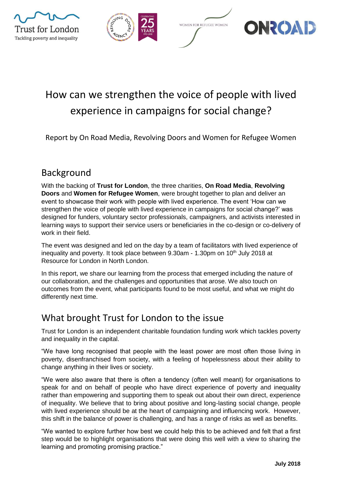







# How can we strengthen the voice of people with lived experience in campaigns for social change?

Report by On Road Media, Revolving Doors and Women for Refugee Women

### Background

With the backing of **Trust for London**, the three charities, **On Road Media**, **Revolving Doors** and **Women for Refugee Women**, were brought together to plan and deliver an event to showcase their work with people with lived experience. The event 'How can we strengthen the voice of people with lived experience in campaigns for social change?' was designed for funders, voluntary sector professionals, campaigners, and activists interested in learning ways to support their service users or beneficiaries in the co-design or co-delivery of work in their field.

The event was designed and led on the day by a team of facilitators with lived experience of inequality and poverty. It took place between  $9.30$ am - 1.30pm on 10<sup>th</sup> July 2018 at Resource for London in North London.

In this report, we share our learning from the process that emerged including the nature of our collaboration, and the challenges and opportunities that arose. We also touch on outcomes from the event, what participants found to be most useful, and what we might do differently next time.

### What brought Trust for London to the issue

Trust for London is an independent charitable foundation funding work which tackles poverty and inequality in the capital.

"We have long recognised that people with the least power are most often those living in poverty, disenfranchised from society, with a feeling of hopelessness about their ability to change anything in their lives or society.

"We were also aware that there is often a tendency (often well meant) for organisations to speak for and on behalf of people who have direct experience of poverty and inequality rather than empowering and supporting them to speak out about their own direct, experience of inequality. We believe that to bring about positive and long-lasting social change, people with lived experience should be at the heart of campaigning and influencing work. However, this shift in the balance of power is challenging, and has a range of risks as well as benefits.

"We wanted to explore further how best we could help this to be achieved and felt that a first step would be to highlight organisations that were doing this well with a view to sharing the learning and promoting promising practice."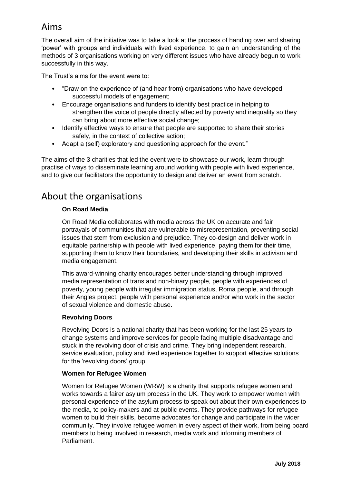# Aims

The overall aim of the initiative was to take a look at the process of handing over and sharing 'power' with groups and individuals with lived experience, to gain an understanding of the methods of 3 organisations working on very different issues who have already begun to work successfully in this way.

The Trust's aims for the event were to:

- "Draw on the experience of (and hear from) organisations who have developed successful models of engagement;
- Encourage organisations and funders to identify best practice in helping to strengthen the voice of people directly affected by poverty and inequality so they can bring about more effective social change;
- Identify effective ways to ensure that people are supported to share their stories safely, in the context of collective action;
- Adapt a (self) exploratory and questioning approach for the event."

The aims of the 3 charities that led the event were to showcase our work, learn through practise of ways to disseminate learning around working with people with lived experience, and to give our facilitators the opportunity to design and deliver an event from scratch.

### About the organisations

#### **On Road Media**

On Road Media collaborates with media across the UK on accurate and fair portrayals of communities that are vulnerable to misrepresentation, preventing social issues that stem from exclusion and prejudice. They co-design and deliver work in equitable partnership with people with lived experience, paying them for their time, supporting them to know their boundaries, and developing their skills in activism and media engagement.

This award-winning charity encourages better understanding through improved media representation of trans and non-binary people, people with experiences of poverty, young people with irregular immigration status, Roma people, and through their Angles project, people with personal experience and/or who work in the sector of sexual violence and domestic abuse.

#### **Revolving Doors**

Revolving Doors is a national charity that has been working for the last 25 years to change systems and improve services for people facing multiple disadvantage and stuck in the revolving door of crisis and crime. They bring independent research, service evaluation, policy and lived experience together to support effective solutions for the 'revolving doors' group.

#### **Women for Refugee Women**

Women for Refugee Women (WRW) is a charity that supports refugee women and works towards a fairer asylum process in the UK. They work to empower women with personal experience of the asylum process to speak out about their own experiences to the media, to policy-makers and at public events. They provide pathways for refugee women to build their skills, become advocates for change and participate in the wider community. They involve refugee women in every aspect of their work, from being board members to being involved in research, media work and informing members of Parliament.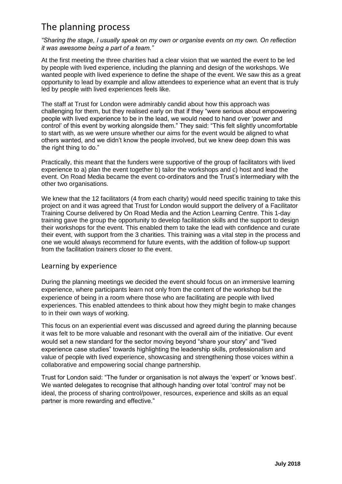# The planning process

*"Sharing the stage, I usually speak on my own or organise events on my own. On reflection it was awesome being a part of a team."*

At the first meeting the three charities had a clear vision that we wanted the event to be led by people with lived experience, including the planning and design of the workshops. We wanted people with lived experience to define the shape of the event. We saw this as a great opportunity to lead by example and allow attendees to experience what an event that is truly led by people with lived experiences feels like.

The staff at Trust for London were admirably candid about how this approach was challenging for them, but they realised early on that if they "were serious about empowering people with lived experience to be in the lead, we would need to hand over 'power and control' of this event by working alongside them." They said: "This felt slightly uncomfortable to start with, as we were unsure whether our aims for the event would be aligned to what others wanted, and we didn't know the people involved, but we knew deep down this was the right thing to do."

Practically, this meant that the funders were supportive of the group of facilitators with lived experience to a) plan the event together b) tailor the workshops and c) host and lead the event. On Road Media became the event co-ordinators and the Trust's intermediary with the other two organisations.

We knew that the 12 facilitators (4 from each charity) would need specific training to take this project on and it was agreed that Trust for London would support the delivery of a Facilitator Training Course delivered by On Road Media and the Action Learning Centre. This 1-day training gave the group the opportunity to develop facilitation skills and the support to design their workshops for the event. This enabled them to take the lead with confidence and curate their event, with support from the 3 charities. This training was a vital step in the process and one we would always recommend for future events, with the addition of follow-up support from the facilitation trainers closer to the event.

#### Learning by experience

During the planning meetings we decided the event should focus on an immersive learning experience, where participants learn not only from the content of the workshop but the experience of being in a room where those who are facilitating are people with lived experiences. This enabled attendees to think about how they might begin to make changes to in their own ways of working.

This focus on an experiential event was discussed and agreed during the planning because it was felt to be more valuable and resonant with the overall aim of the initiative. Our event would set a new standard for the sector moving beyond "share your story" and "lived experience case studies" towards highlighting the leadership skills, professionalism and value of people with lived experience, showcasing and strengthening those voices within a collaborative and empowering social change partnership.

Trust for London said: "The funder or organisation is not always the 'expert' or 'knows best'. We wanted delegates to recognise that although handing over total 'control' may not be ideal, the process of sharing control/power, resources, experience and skills as an equal partner is more rewarding and effective."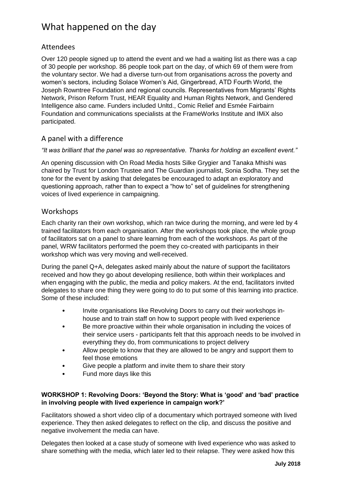# What happened on the day

#### Attendees

Over 120 people signed up to attend the event and we had a waiting list as there was a cap of 30 people per workshop. 86 people took part on the day, of which 69 of them were from the voluntary sector. We had a diverse turn-out from organisations across the poverty and women's sectors, including Solace Women's Aid, Gingerbread, ATD Fourth World, the Joseph Rowntree Foundation and regional councils. Representatives from Migrants' Rights Network, Prison Reform Trust, HEAR Equality and Human Rights Network, and Gendered Intelligence also came. Funders included Unltd., Comic Relief and Esmée Fairbairn Foundation and communications specialists at the FrameWorks Institute and IMiX also participated.

#### A panel with a difference

#### *"It was brilliant that the panel was so representative. Thanks for holding an excellent event."*

An opening discussion with On Road Media hosts Silke Grygier and Tanaka Mhishi was chaired by Trust for London Trustee and The Guardian journalist, Sonia Sodha. They set the tone for the event by asking that delegates be encouraged to adapt an exploratory and questioning approach, rather than to expect a "how to" set of guidelines for strengthening voices of lived experience in campaigning.

#### **Workshops**

Each charity ran their own workshop, which ran twice during the morning, and were led by 4 trained facilitators from each organisation. After the workshops took place, the whole group of facilitators sat on a panel to share learning from each of the workshops. As part of the panel, WRW facilitators performed the poem they co-created with participants in their workshop which was very moving and well-received.

During the panel Q+A, delegates asked mainly about the nature of support the facilitators received and how they go about developing resilience, both within their workplaces and when engaging with the public, the media and policy makers. At the end, facilitators invited delegates to share one thing they were going to do to put some of this learning into practice. Some of these included:

- Invite organisations like Revolving Doors to carry out their workshops inhouse and to train staff on how to support people with lived experience
- Be more proactive within their whole organisation in including the voices of their service users - participants felt that this approach needs to be involved in everything they do, from communications to project delivery
- Allow people to know that they are allowed to be angry and support them to feel those emotions
- Give people a platform and invite them to share their story
- Fund more days like this

#### **WORKSHOP 1: Revolving Doors: 'Beyond the Story: What is 'good' and 'bad' practice in involving people with lived experience in campaign work?'**

Facilitators showed a short video clip of a documentary which portrayed someone with lived experience. They then asked delegates to reflect on the clip, and discuss the positive and negative involvement the media can have.

Delegates then looked at a case study of someone with lived experience who was asked to share something with the media, which later led to their relapse. They were asked how this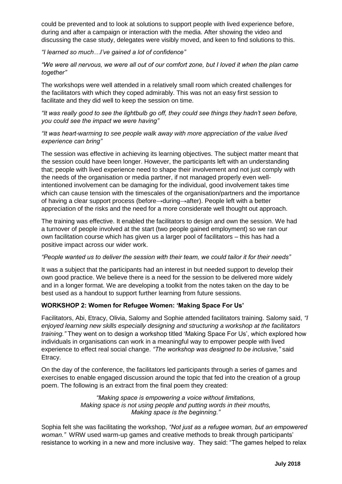could be prevented and to look at solutions to support people with lived experience before, during and after a campaign or interaction with the media. After showing the video and discussing the case study, delegates were visibly moved, and keen to find solutions to this.

*"I learned so much…I've gained a lot of confidence"*

*"We were all nervous, we were all out of our comfort zone, but I loved it when the plan came together"*

The workshops were well attended in a relatively small room which created challenges for the facilitators with which they coped admirably. This was not an easy first session to facilitate and they did well to keep the session on time.

*"It was really good to see the lightbulb go off, they could see things they hadn't seen before, you could see the impact we were having"*

#### *"It was heart-warming to see people walk away with more appreciation of the value lived experience can bring"*

The session was effective in achieving its learning objectives. The subject matter meant that the session could have been longer. However, the participants left with an understanding that; people with lived experience need to shape their involvement and not just comply with the needs of the organisation or media partner, if not managed properly even wellintentioned involvement can be damaging for the individual, good involvement takes time which can cause tension with the timescales of the organisation/partners and the importance of having a clear support process (before→during→after). People left with a better appreciation of the risks and the need for a more considerate well thought out approach.

The training was effective. It enabled the facilitators to design and own the session. We had a turnover of people involved at the start (two people gained employment) so we ran our own facilitation course which has given us a larger pool of facilitators – this has had a positive impact across our wider work.

#### *"People wanted us to deliver the session with their team, we could tailor it for their needs"*

It was a subject that the participants had an interest in but needed support to develop their own good practice. We believe there is a need for the session to be delivered more widely and in a longer format. We are developing a toolkit from the notes taken on the day to be best used as a handout to support further learning from future sessions.

#### **WORKSHOP 2: Women for Refugee Women: 'Making Space For Us'**

Facilitators, Abi, Etracy, Olivia, Salomy and Sophie attended facilitators training. Salomy said, *"I enjoyed learning new skills especially designing and structuring a workshop at the facilitators training."* They went on to design a workshop titled 'Making Space For Us', which explored how individuals in organisations can work in a meaningful way to empower people with lived experience to effect real social change. *"The workshop was designed to be inclusive,"* said Etracy.

On the day of the conference, the facilitators led participants through a series of games and exercises to enable engaged discussion around the topic that fed into the creation of a group poem. The following is an extract from the final poem they created:

> *"Making space is empowering a voice without limitations, Making space is not using people and putting words in their mouths, Making space is the beginning."*

Sophia felt she was facilitating the workshop, *"Not just as a refugee woman, but an empowered woman."* WRW used warm-up games and creative methods to break through participants' resistance to working in a new and more inclusive way. They said: "The games helped to relax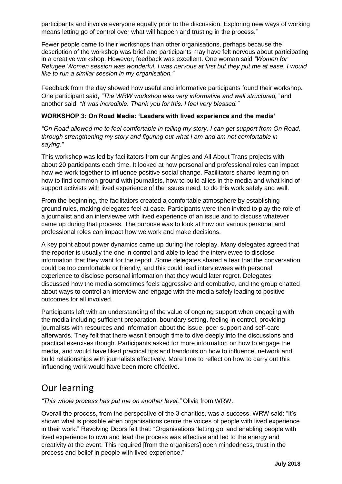participants and involve everyone equally prior to the discussion. Exploring new ways of working means letting go of control over what will happen and trusting in the process."

Fewer people came to their workshops than other organisations, perhaps because the description of the workshop was brief and participants may have felt nervous about participating in a creative workshop. However, feedback was excellent. One woman said *"Women for Refugee Women session was wonderful. I was nervous at first but they put me at ease. I would like to run a similar session in my organisation."*

Feedback from the day showed how useful and informative participants found their workshop. One participant said, *"The WRW workshop was very informative and well structured,"* and another said, *"It was incredible. Thank you for this. I feel very blessed."*

#### **WORKSHOP 3: On Road Media: 'Leaders with lived experience and the media'**

*"On Road allowed me to feel comfortable in telling my story. I can get support from On Road, through strengthening my story and figuring out what I am and am not comfortable in saying."*

This workshop was led by facilitators from our Angles and All About Trans projects with about 20 participants each time. It looked at how personal and professional roles can impact how we work together to influence positive social change. Facilitators shared learning on how to find common ground with journalists, how to build allies in the media and what kind of support activists with lived experience of the issues need, to do this work safely and well.

From the beginning, the facilitators created a comfortable atmosphere by establishing ground rules, making delegates feel at ease. Participants were then invited to play the role of a journalist and an interviewee with lived experience of an issue and to discuss whatever came up during that process. The purpose was to look at how our various personal and professional roles can impact how we work and make decisions.

A key point about power dynamics came up during the roleplay. Many delegates agreed that the reporter is usually the one in control and able to lead the interviewee to disclose information that they want for the report. Some delegates shared a fear that the conversation could be too comfortable or friendly, and this could lead interviewees with personal experience to disclose personal information that they would later regret. Delegates discussed how the media sometimes feels aggressive and combative, and the group chatted about ways to control an interview and engage with the media safely leading to positive outcomes for all involved.

Participants left with an understanding of the value of ongoing support when engaging with the media including sufficient preparation, boundary setting, feeling in control, providing journalists with resources and information about the issue, peer support and self-care afterwards. They felt that there wasn't enough time to dive deeply into the discussions and practical exercises though. Participants asked for more information on how to engage the media, and would have liked practical tips and handouts on how to influence, network and build relationships with journalists effectively. More time to reflect on how to carry out this influencing work would have been more effective.

### Our learning

*"This whole process has put me on another level."* Olivia from WRW.

Overall the process, from the perspective of the 3 charities, was a success. WRW said: "It's shown what is possible when organisations centre the voices of people with lived experience in their work." Revolving Doors felt that: "Organisations 'letting go' and enabling people with lived experience to own and lead the process was effective and led to the energy and creativity at the event. This required [from the organisers] open mindedness, trust in the process and belief in people with lived experience."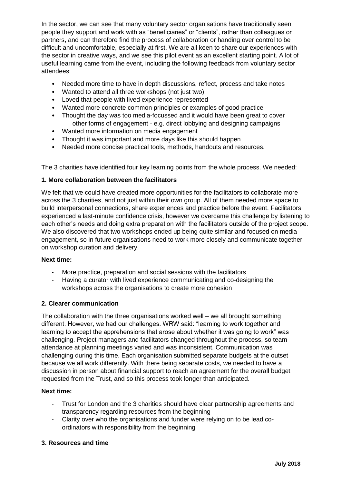In the sector, we can see that many voluntary sector organisations have traditionally seen people they support and work with as "beneficiaries" or "clients", rather than colleagues or partners, and can therefore find the process of collaboration or handing over control to be difficult and uncomfortable, especially at first. We are all keen to share our experiences with the sector in creative ways, and we see this pilot event as an excellent starting point. A lot of useful learning came from the event, including the following feedback from voluntary sector attendees:

- Needed more time to have in depth discussions, reflect, process and take notes
- Wanted to attend all three workshops (not just two)
- Loved that people with lived experience represented
- Wanted more concrete common principles or examples of good practice
- Thought the day was too media-focussed and it would have been great to cover other forms of engagement - e.g. direct lobbying and designing campaigns
- Wanted more information on media engagement
- Thought it was important and more days like this should happen
- Needed more concise practical tools, methods, handouts and resources.

The 3 charities have identified four key learning points from the whole process. We needed:

#### **1. More collaboration between the facilitators**

We felt that we could have created more opportunities for the facilitators to collaborate more across the 3 charities, and not just within their own group. All of them needed more space to build interpersonal connections, share experiences and practice before the event. Facilitators experienced a last-minute confidence crisis, however we overcame this challenge by listening to each other's needs and doing extra preparation with the facilitators outside of the project scope. We also discovered that two workshops ended up being quite similar and focused on media engagement, so in future organisations need to work more closely and communicate together on workshop curation and delivery.

#### **Next time:**

- More practice, preparation and social sessions with the facilitators
- Having a curator with lived experience communicating and co-designing the workshops across the organisations to create more cohesion

#### **2. Clearer communication**

The collaboration with the three organisations worked well – we all brought something different. However, we had our challenges. WRW said: "learning to work together and learning to accept the apprehensions that arose about whether it was going to work" was challenging. Project managers and facilitators changed throughout the process, so team attendance at planning meetings varied and was inconsistent. Communication was challenging during this time. Each organisation submitted separate budgets at the outset because we all work differently. With there being separate costs, we needed to have a discussion in person about financial support to reach an agreement for the overall budget requested from the Trust, and so this process took longer than anticipated.

#### **Next time:**

- Trust for London and the 3 charities should have clear partnership agreements and transparency regarding resources from the beginning
- Clarity over who the organisations and funder were relying on to be lead coordinators with responsibility from the beginning

#### **3. Resources and time**